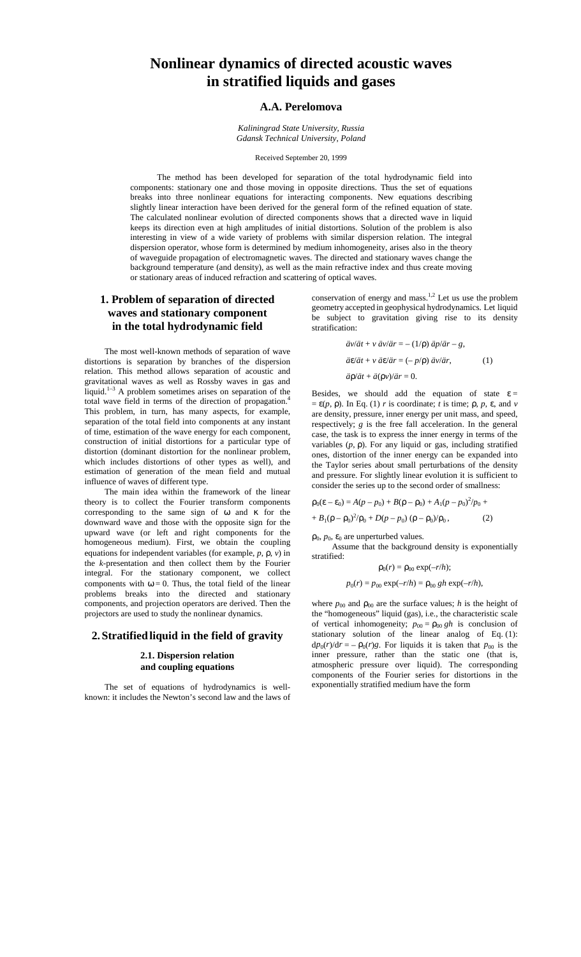# **Nonlinear dynamics of directed acoustic waves in stratified liquids and gases**

# **A.A. Perelomova**

*Kaliningrad State University, Russia Gdansk Technical University, Poland*

Received September 20, 1999

The method has been developed for separation of the total hydrodynamic field into components: stationary one and those moving in opposite directions. Thus the set of equations breaks into three nonlinear equations for interacting components. New equations describing slightly linear interaction have been derived for the general form of the refined equation of state. The calculated nonlinear evolution of directed components shows that a directed wave in liquid keeps its direction even at high amplitudes of initial distortions. Solution of the problem is also interesting in view of a wide variety of problems with similar dispersion relation. The integral dispersion operator, whose form is determined by medium inhomogeneity, arises also in the theory of waveguide propagation of electromagnetic waves. The directed and stationary waves change the background temperature (and density), as well as the main refractive index and thus create moving or stationary areas of induced refraction and scattering of optical waves.

# **1. Problem of separation of directed waves and stationary component in the total hydrodynamic field**

The most well-known methods of separation of wave distortions is separation by branches of the dispersion relation. This method allows separation of acoustic and gravitational waves as well as Rossby waves in gas and liquid.<sup>1–3</sup> A problem sometimes arises on separation of the total wave field in terms of the direction of propagation.4 This problem, in turn, has many aspects, for example, separation of the total field into components at any instant of time, estimation of the wave energy for each component, construction of initial distortions for a particular type of distortion (dominant distortion for the nonlinear problem, which includes distortions of other types as well), and estimation of generation of the mean field and mutual influence of waves of different type.

The main idea within the framework of the linear theory is to collect the Fourier transform components corresponding to the same sign of  $\omega$  and  $\kappa$  for the downward wave and those with the opposite sign for the upward wave (or left and right components for the homogeneous medium). First, we obtain the coupling equations for independent variables (for example, *p*, ρ, *v*) in the *k*-presentation and then collect them by the Fourier integral. For the stationary component, we collect components with  $\omega = 0$ . Thus, the total field of the linear problems breaks into the directed and stationary components, and projection operators are derived. Then the projectors are used to study the nonlinear dynamics.

# **2.Stratifiedliquid in the field of gravity**

# **2.1. Dispersion relation and coupling equations**

The set of equations of hydrodynamics is wellknown: it includes the Newton's second law and the laws of conservation of energy and mass.<sup>1,2</sup> Let us use the problem geometry accepted in geophysical hydrodynamics. Let liquid be subject to gravitation giving rise to its density stratification:

$$
\ddot{a}v/\ddot{a}t + v \ddot{a}v/\ddot{a}r = -(1/\rho) \ddot{a}p/\ddot{a}r - g,
$$
  
\n
$$
\ddot{a}\epsilon/\ddot{a}t + v \ddot{a}\epsilon/\ddot{a}r = (-p/\rho) \ddot{a}v/\ddot{a}r,
$$
  
\n
$$
\ddot{a}p/\ddot{a}t + \ddot{a}(\rho v)/\ddot{a}r = 0.
$$
\n(1)

Besides, we should add the equation of state  $\varepsilon =$  $= \varepsilon(p, \rho)$ . In Eq. (1) *r* is coordinate; *t* is time;  $\rho$ , *p*,  $\varepsilon$ , and *v* are density, pressure, inner energy per unit mass, and speed, respectively; *g* is the free fall acceleration. In the general case, the task is to express the inner energy in terms of the variables  $(p, \rho)$ . For any liquid or gas, including stratified ones, distortion of the inner energy can be expanded into the Taylor series about small perturbations of the density and pressure. For slightly linear evolution it is sufficient to consider the series up to the second order of smallness:

$$
\rho_0(\varepsilon - \varepsilon_0) = A(p - p_0) + B(p - p_0) + A_1(p - p_0)^2 / p_0 ++ B_1(p - p_0)^2 / p_0 + D(p - p_0) (p - p_0) / p_0,
$$
 (2)

 $\rho_0$ ,  $p_0$ ,  $\varepsilon_0$  are unperturbed values.

Assume that the background density is exponentially stratified:

$$
\rho_0(r) = \rho_{00} \exp(-r/h);
$$

$$
p_0(r) = p_{00} \exp(-r/h) = \rho_{00} \, gh \, \exp(-r/h),
$$

where  $p_{00}$  and  $p_{00}$  are the surface values; *h* is the height of the "homogeneous" liquid (gas), i.e., the characteristic scale of vertical inhomogeneity;  $p_{00} = \rho_{00} gh$  is conclusion of stationary solution of the linear analog of Eq. (1):  $dp_0(r)/dr = -\rho_0(r)g$ . For liquids it is taken that  $p_{00}$  is the inner pressure, rather than the static one (that is, atmospheric pressure over liquid). The corresponding components of the Fourier series for distortions in the exponentially stratified medium have the form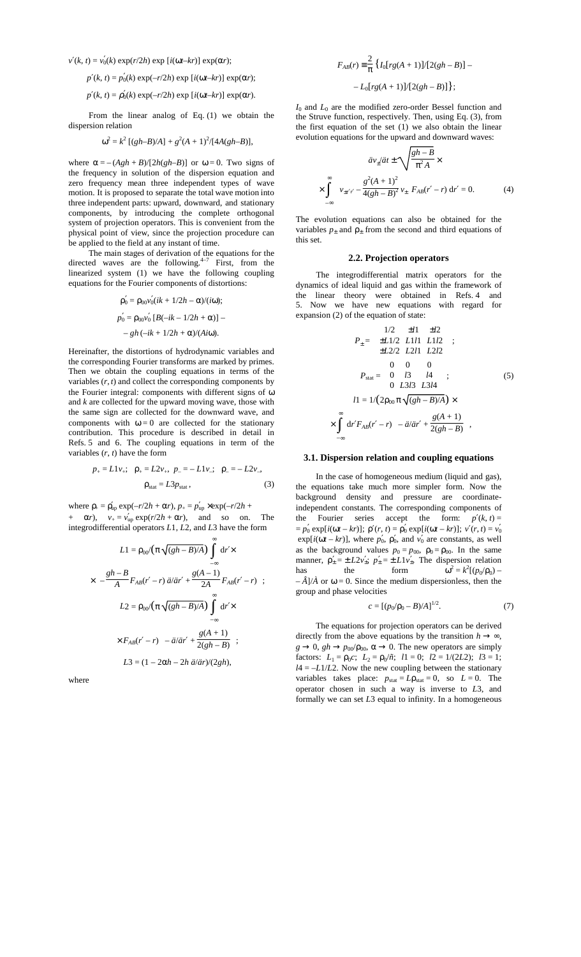$v'(k, t) = v'_0(k) \exp(r/2h) \exp[i(\omega t - kr)] \exp(\alpha r);$ 

$$
p'(k, t) = p'_0(k) \exp(-r/2h) \exp[i(\omega t - kr)] \exp(\alpha r);
$$

$$
p'(k, t) = \rho'_0(k) \exp(-r/2h) \exp[i(\omega t - kr)] \exp(\alpha r).
$$

From the linear analog of Eq. (1) we obtain the dispersion relation

$$
\omega^2 = k^2 [(gh - B)/A] + g^2 (A + 1)^2/[4A(gh - B)],
$$

where  $\alpha = -(\text{A}gh + \text{B})/[2\text{h}(gh - \text{B})]$  or  $\omega = 0$ . Two signs of the frequency in solution of the dispersion equation and zero frequency mean three independent types of wave motion. It is proposed to separate the total wave motion into three independent parts: upward, downward, and stationary components, by introducing the complete orthogonal system of projection operators. This is convenient from the physical point of view, since the projection procedure can be applied to the field at any instant of time.

The main stages of derivation of the equations for the directed waves are the following. $4-7$  First, from the linearized system (1) we have the following coupling equations for the Fourier components of distortions:

$$
\rho'_0 = \rho_{00} \nu'_0 (ik + 1/2h - \alpha)/(i\omega);
$$
  
\n
$$
\rho'_0 = \rho_{00} \nu'_0 [B(-ik - 1/2h + \alpha)] -
$$
  
\n
$$
- gh (-ik + 1/2h + \alpha)/(Ai\omega).
$$

Hereinafter, the distortions of hydrodynamic variables and the corresponding Fourier transforms are marked by primes. Then we obtain the coupling equations in terms of the variables  $(r, t)$  and collect the corresponding components by the Fourier integral: components with different signs of ω and *k* are collected for the upward moving wave, those with the same sign are collected for the downward wave, and components with  $\omega = 0$  are collected for the stationary contribution. This procedure is described in detail in Refs. 5 and 6. The coupling equations in term of the variables  $(r, t)$  have the form

$$
p_{+} = L1v_{+}; \quad p_{+} = L2v_{+}, \quad p_{-} = -L1v_{-}; \quad p_{-} = -L2v_{-},
$$
  

$$
\rho_{stat} = L3p_{stat}, \tag{3}
$$

where  $\rho_{+} = \rho_{\text{up}}' \exp(-r/2h + \alpha r), p_{+} = p_{\text{up}}' \times \exp(-r/2h + \alpha r)$ 

+  $\alpha r$ ,  $v_+ = v'_{\text{up}} \exp(r/2h + \alpha r)$ , and so on. The integrodifferential operators *L*1, *L*2, and *L*3 have the form

$$
L1 = \rho_{00} / (\pi \sqrt{(gh - B)/A}) \int_{-\infty}^{\infty} dr' \times
$$

$$
\times \left\{ -\frac{gh - B}{A} F_{AB}(r' - r) \ddot{a}/\ddot{a}r' + \frac{g(A - 1)}{2A} F_{AB}(r' - r) \right\};
$$

$$
L2 = \rho_{00} / (\pi \sqrt{(gh - B)/A}) \int_{-\infty}^{\infty} dr' \times
$$

$$
\times F_{AB}(r' - r) \left\{ -\ddot{a}/\ddot{a}r' + \frac{g(A + 1)}{2(gh - B)} \right\};
$$

$$
L3 = (1 - 2\alpha h - 2h \ddot{a}/\ddot{a}r)/(2gh),
$$

where

$$
F_{AB}(r) \equiv \frac{2}{\pi} \left\{ I_0[rg(A+1)]/[2(gh-B)] --L_0[rg(A+1)]/[2(gh-B)] \right\};
$$

*I*0 and *L*0 are the modified zero-order Bessel function and the Struve function, respectively. Then, using Eq. (3), from the first equation of the set (1) we also obtain the linear evolution equations for the upward and downward waves:

$$
\ddot{a}v_{\pm}d\dot{a}t \pm \sqrt{\frac{gh - B}{\pi^2 A}} \times
$$

$$
\times \int_{-\infty}^{\infty} \left\{ v_{\pm r'r} - \frac{g^2 (A + 1)^2}{4(gh - B)^2} v_{\pm} \right\} F_{AB}(r' - r) dr' = 0.
$$
 (4)

The evolution equations can also be obtained for the variables  $p_{+}$  and  $p_{+}$  from the second and third equations of this set.

## **2.2. Projection operators**

The integrodifferential matrix operators for the dynamics of ideal liquid and gas within the framework of the linear theory were obtained in Refs. 4 and 5. Now we have new equations with regard for expansion (2) of the equation of state:

$$
P_{\pm} = \begin{pmatrix} 1/2 & \pm l1 & \pm l2 \\ \pm L1/2 & L1l1 & L1l2 \\ \pm L2/2 & L2l1 & L2l2 \end{pmatrix};
$$
  
\n
$$
P_{\text{stat}} = \begin{pmatrix} 0 & 0 & 0 \\ 0 & l3 & l4 \\ 0 & L3l3 & L3l4 \end{pmatrix};
$$
  
\n
$$
l1 = 1/(2\rho_{00} \pi \sqrt{(gh - B)/A}) \times
$$
  
\n
$$
\times \int_{-\infty}^{\infty} dr' F_{AB}(r' - r) \left\{ -\frac{\dot{a}}{a'r'} + \frac{g(A + 1)}{2(gh - B)} \right\},
$$

#### **3.1. Dispersion relation and coupling equations**

In the case of homogeneous medium (liquid and gas), the equations take much more simpler form. Now the background density and pressure are coordinateindependent constants. The corresponding components of the Fourier series accept the form:  $p'(k, t) =$  $= p'_0 \exp[i(\omega t - kr)]; \ \rho'(r, t) = \rho'_0 \exp[i(\omega t - kr)]; \ v'(r, t) = v'_0$  $exp[i(\omega t - kr)]$ , where  $p'_0$ ,  $p'_0$ , and  $v'_0$  are constants, as well as the background values  $p_0 = p_{00}$ ,  $\rho_0 = \rho_{00}$ . In the same manner,  $\rho'_{\pm} = \pm L2v'_{\pm}$ ;  $p'_{\pm} = \pm L1v'_{\pm}$ . The dispersion relation has the form  $k^2 = k^2 [(p_0/p_0) -\hat{A}$ / $\hat{A}$  or  $\omega = 0$ . Since the medium dispersionless, then the group and phase velocities

$$
c = [(p_0/\rho_0 - B)/A]^{1/2}.
$$
 (7)

The equations for projection operators can be derived directly from the above equations by the transition  $h \to \infty$ ,  $g \to 0$ ,  $gh \to p_{00}/p_{00}$ ,  $\alpha \to 0$ . The new operators are simply factors:  $L_1 = \rho_0 c$ ;  $L_2 = \rho_0 / \tilde{n}$ ;  $l_1 = 0$ ;  $l_2 = 1/(2L_2)$ ;  $l_3 = 1$ ;  $l4 = -L1/L2$ . Now the new coupling between the stationary variables takes place:  $p_{stat} = Lp_{stat} = 0$ , so  $L = 0$ . The operator chosen in such a way is inverse to *L*3, and formally we can set *L*3 equal to infinity. In a homogeneous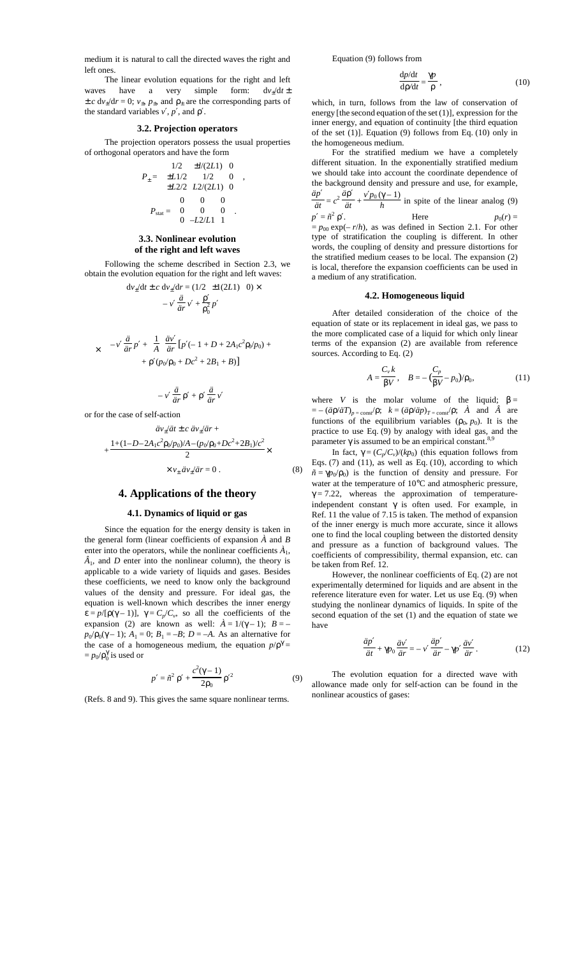medium it is natural to call the directed waves the right and left ones.

The linear evolution equations for the right and left waves have a very simple form:  $dv_+ / dt \pm$  $\pm c \, dv_{\pm}/dr = 0$ ;  $v_{\pm}$ ,  $p_{\pm}$ , and  $p_{\pm}$  are the corresponding parts of the standard variables *v*′, *p*′, and ρ′.

# **3.2. Projection operators**

The projection operators possess the usual properties of orthogonal operators and have the form

$$
P_{\pm} = \begin{pmatrix} 1/2 & \pm l/(2L1) & 0 \\ \pm L1/2 & 1/2 & 0 \\ \pm L2/2 & L2/(2L1) & 0 \end{pmatrix},
$$

$$
P_{\text{stat}} = \begin{pmatrix} 0 & 0 & 0 \\ 0 & 0 & 0 \\ 0 & -L2/L1 & 1 \end{pmatrix}.
$$

# **3.3. Nonlinear evolution of the right and left waves**

Following the scheme described in Section 2.3, we obtain the evolution equation for the right and left waves:

$$
dv_{\pm}/dt \pm c \ dv_{\pm}/dr = (1/2 \pm 1(2L1) 0) \times
$$
  

$$
-v' \frac{\ddot{a}}{\dot{a}r} v' + \frac{\rho'}{\rho_0^2} p'
$$
  

$$
-v' \frac{\ddot{a}}{\dot{a}r} p' + (\frac{1}{A}) \frac{\ddot{a}v'}{\dot{a}r} [p'(-1 + D + 2A_1c^2 \rho_0/p_0) +
$$

$$
+ \rho' (p_0/p_0 + Dc^2 + 2B_1 + B)]
$$

$$
-v' \frac{\ddot{a}}{\dot{a}r} \rho' + \rho' \frac{\ddot{a}}{\dot{a}r} v'
$$

or for the case of self-action

$$
\ddot{a}v_{\pm}/\ddot{a}t \pm c \,\dot{a}v_{\pm}/\ddot{a}r +
$$
  
+ 
$$
\frac{1 + (1 - D - 2A_1c^2 \rho_0/p_0)/A - (p_0/p_0 + Dc^2 + 2B_1)/c^2}{2} \times
$$
  

$$
\times v_{\pm} \,\dot{a}v_{\pm}/\ddot{a}r = 0.
$$
 (8)

# **4. Applications of the theory**

### **4.1. Dynamics of liquid or gas**

Since the equation for the energy density is taken in the general form (linear coefficients of expansion *À* and *B* enter into the operators, while the nonlinear coefficients  $\vec{A}_1$ ,  $\hat{A}_1$ , and *D* enter into the nonlinear column), the theory is applicable to a wide variety of liquids and gases. Besides these coefficients, we need to know only the background values of the density and pressure. For ideal gas, the equation is well-known which describes the inner energy  $\varepsilon = p/[\rho(\gamma - 1)], \gamma = C_p/C_v$ , so all the coefficients of the expansion (2) are known as well:  $\hat{A} = 1/(\gamma - 1)$ ;  $B =$  $p_0$ / $p_0$ ( $\gamma$  – 1);  $A_1$  = 0;  $B_1$  = –*B*;  $D$  = –*A*. As an alternative for the case of a homogeneous medium, the equation  $p/p^{\gamma} =$  $= p_0/\rho_0^{\gamma}$  is used or

$$
p' = \tilde{n}^2 \rho' + \frac{c^2(\gamma - 1)}{2\rho_0} \rho'^2
$$
 (9)

(Refs. 8 and 9). This gives the same square nonlinear terms.

Equation (9) follows from

$$
\frac{\mathrm{d}p/\mathrm{d}t}{\mathrm{d}p/\mathrm{d}t} = \frac{\gamma p}{\rho},\tag{10}
$$

which, in turn, follows from the law of conservation of energy [the second equation of the set  $(1)$ ], expression for the inner energy, and equation of continuity [the third equation of the set (1)]. Equation (9) follows from Eq. (10) only in the homogeneous medium.

For the stratified medium we have a completely different situation. In the exponentially stratified medium we should take into account the coordinate dependence of the background density and pressure and use, for example, *äp*′  $\frac{1}{\ddot{a}t} = c$  $\frac{a^2}{dt^2} + \frac{v'p_0(\gamma - 1)}{h}$  in spite of the linear analog (9)  $p' = \tilde{n}^2 \rho'$ . Here  $p_0(r) =$ 

 $= p_{00} \exp(-r/h)$ , as was defined in Section 2.1. For other type of stratification the coupling is different. In other words, the coupling of density and pressure distortions for the stratified medium ceases to be local. The expansion (2) is local, therefore the expansion coefficients can be used in a medium of any stratification.

#### **4.2. Homogeneous liquid**

After detailed consideration of the choice of the equation of state or its replacement in ideal gas, we pass to the more complicated case of a liquid for which only linear terms of the expansion (2) are available from reference sources. According to Eq. (2)

$$
A = \frac{C_v k}{\beta V}, \quad B = -\left(\frac{C_p}{\beta V} - p_0\right)/\rho_0,\tag{11}
$$

where *V* is the molar volume of the liquid;  $\beta =$  $= -(\ddot{a}\rho/\ddot{a}T)_{p=\text{const}}/p$ ;  $k = (\ddot{a}\rho/\ddot{a}p)_{T=\text{const}}/p$ ;  $\dot{A}$  and  $\dot{A}$  are functions of the equilibrium variables  $(\rho_0, p_0)$ . It is the practice to use Eq. (9) by analogy with ideal gas, and the parameter  $γ$  is assumed to be an empirical constant.<sup>8,9</sup>

In fact,  $\gamma = (C_p/C_v)/(kp_0)$  (this equation follows from Eqs.  $(7)$  and  $(11)$ , as well as Eq.  $(10)$ , according to which  $\tilde{n} = \gamma p_0 / p_0$  is the function of density and pressure. For water at the temperature of 10°C and atmospheric pressure,  $\gamma = 7.22$ , whereas the approximation of temperatureindependent constant  $\gamma$  is often used. For example, in Ref. 11 the value of 7.15 is taken. The method of expansion of the inner energy is much more accurate, since it allows one to find the local coupling between the distorted density and pressure as a function of background values. The coefficients of compressibility, thermal expansion, etc. can be taken from Ref. 12.

However, the nonlinear coefficients of Eq. (2) are not experimentally determined for liquids and are absent in the reference literature even for water. Let us use Eq. (9) when studying the nonlinear dynamics of liquids. In spite of the second equation of the set (1) and the equation of state we have

$$
\frac{\ddot{a}p'}{\ddot{a}t} + \gamma p_0 \frac{\ddot{a}v'}{\ddot{a}r} = -v' \frac{\ddot{a}p'}{\ddot{a}r} - \gamma p' \frac{\ddot{a}v'}{\ddot{a}r}.
$$
 (12)

The evolution equation for a directed wave with allowance made only for self-action can be found in the nonlinear acoustics of gases: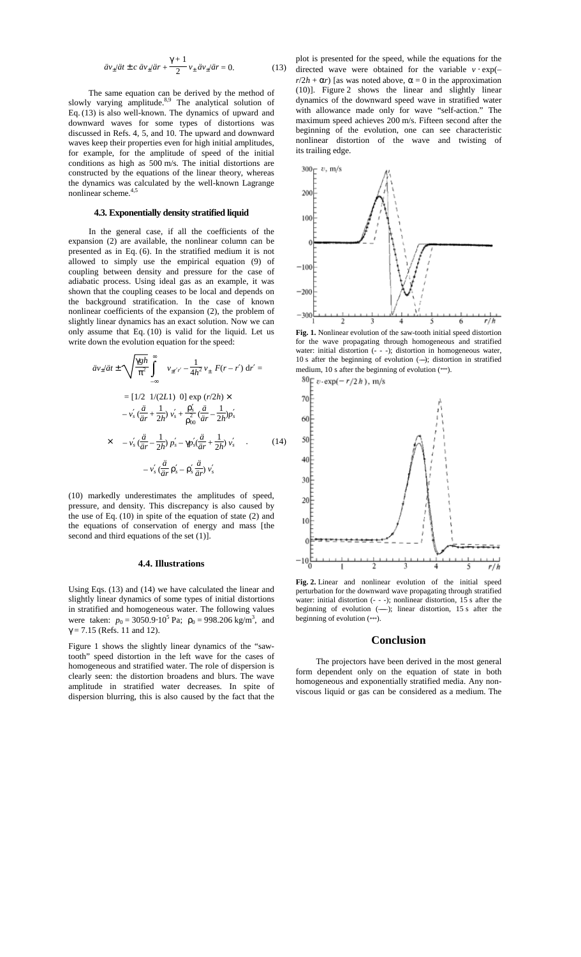$$
\ddot{a}v_{\pm}/\ddot{a}t \pm c \,\dot{a}v_{\pm}/\ddot{a}r + \frac{\gamma+1}{2}v_{\pm}\,\dot{a}v_{\pm}/\ddot{a}r = 0. \tag{13}
$$

The same equation can be derived by the method of slowly varying amplitude.<sup>8,9</sup> The analytical solution of Eq. (13) is also well-known. The dynamics of upward and downward waves for some types of distortions was discussed in Refs. 4, 5, and 10. The upward and downward waves keep their properties even for high initial amplitudes, for example, for the amplitude of speed of the initial conditions as high as 500 m/s. The initial distortions are constructed by the equations of the linear theory, whereas the dynamics was calculated by the well-known Lagrange nonlinear scheme.<sup>4,5</sup>

## **4.3. Exponentially density stratified liquid**

In the general case, if all the coefficients of the expansion (2) are available, the nonlinear column can be presented as in Eq. (6). In the stratified medium it is not allowed to simply use the empirical equation (9) of coupling between density and pressure for the case of adiabatic process. Using ideal gas as an example, it was shown that the coupling ceases to be local and depends on the background stratification. In the case of known nonlinear coefficients of the expansion (2), the problem of slightly linear dynamics has an exact solution. Now we can only assume that Eq. (10) is valid for the liquid. Let us write down the evolution equation for the speed:

$$
\ddot{a}v_{\pm}\prime\ddot{a}t \pm \sqrt{\frac{\gamma gh}{\pi^2}} \int_{-\infty}^{\infty} \left\{ v_{\pm r'r} - \frac{1}{4h^2} v_{\pm} \right\} F(r - r') dr' =
$$
\n
$$
= [1/2 \ 1/(2L1) \ 0] \exp (r/2h) \times
$$
\n
$$
- v'_{s} \left( \frac{\ddot{a}}{\ddot{a}r} + \frac{1}{2h} v'_{s} + \frac{\rho'_{s}}{\rho_{00}} \left( \frac{\ddot{a}}{\dot{a}r} - \frac{1}{2h} \right) p'_{s} \right)
$$
\n
$$
\times \left\{ -v'_{s} \left( \frac{\ddot{a}}{\dot{a}r} - \frac{1}{2h} \right) p'_{s} - \gamma p'_{s} \left( \frac{\ddot{a}}{\dot{a}r} + \frac{1}{2h} \right) v'_{s} \right\}.
$$
\n
$$
- v'_{s} \left( \frac{\ddot{a}}{\dot{a}r} \rho'_{s} - \rho'_{s} \frac{\ddot{a}}{\dot{a}r} \right) v'_{s}
$$
\n(14)

(10) markedly underestimates the amplitudes of speed, pressure, and density. This discrepancy is also caused by the use of Eq. (10) in spite of the equation of state (2) and the equations of conservation of energy and mass [the second and third equations of the set (1).

#### **4.4. Illustrations**

Using Eqs. (13) and (14) we have calculated the linear and slightly linear dynamics of some types of initial distortions in stratified and homogeneous water. The following values were taken:  $p_0 = 3050.9 \cdot 10^5$  Pa;  $\rho_0 = 998.206$  kg/m<sup>3</sup>, and  $\gamma = 7.15$  (Refs. 11 and 12).

Figure 1 shows the slightly linear dynamics of the "sawtooth" speed distortion in the left wave for the cases of homogeneous and stratified water. The role of dispersion is clearly seen: the distortion broadens and blurs. The wave amplitude in stratified water decreases. In spite of dispersion blurring, this is also caused by the fact that the

plot is presented for the speed, while the equations for the directed wave were obtained for the variable  $v \cdot \exp(-\pi)$  $r/2h + \alpha r$ ) [as was noted above,  $\alpha = 0$  in the approximation (10)]. Figure 2 shows the linear and slightly linear dynamics of the downward speed wave in stratified water with allowance made only for wave "self-action." The maximum speed achieves 200 m/s. Fifteen second after the beginning of the evolution, one can see characteristic nonlinear distortion of the wave and twisting of its trailing edge.



**Fig. 1.** Nonlinear evolution of the saw-tooth initial speed distortion for the wave propagating through homogeneous and stratified water: initial distortion (- - -); distortion in homogeneous water, 10 s after the beginning of evolution  $(-)$ ; distortion in stratified medium, 10 s after the beginning of evolution (\*\*\*).



**Fig. 2.** Linear and nonlinear evolution of the initial speed perturbation for the downward wave propagating through stratified water: initial distortion  $(- - )$ ; nonlinear distortion, 15 s after the beginning of evolution  $(-)$ ; linear distortion, 15 s after the beginning of evolution (\*\*\*).

# **Conclusion**

The projectors have been derived in the most general form dependent only on the equation of state in both homogeneous and exponentially stratified media. Any nonviscous liquid or gas can be considered as a medium. The